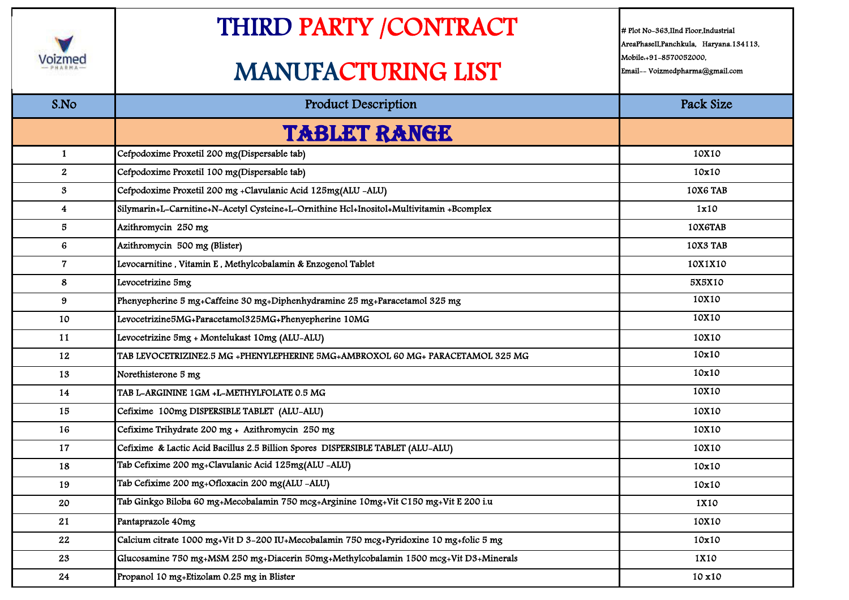

## THIRD PARTY /CONTRACT

## MANUFACTURING LIST

# Plot No-363,IInd Floor,Industrial AreaPhaseII,Panchkula, Haryana.134113, Mobile:+91-8570052000, Email-- Voizmedpharma@gmail.com

| S.No                    | <b>Product Description</b>                                                              | Pack Size |
|-------------------------|-----------------------------------------------------------------------------------------|-----------|
|                         | <b>TABLET RANGE</b>                                                                     |           |
| $\mathbf{1}$            | Cefpodoxime Proxetil 200 mg(Dispersable tab)                                            | 10X10     |
| $\mathbf{2}$            | Cefpodoxime Proxetil 100 mg(Dispersable tab)                                            | 10x10     |
| $\mathbf{3}$            | Cefpodoxime Proxetil 200 mg +Clavulanic Acid 125mg(ALU -ALU)                            | 10X6 TAB  |
| $\overline{\mathbf{4}}$ | Silymarin+L-Carnitine+N-Acetyl Cysteine+L-Ornithine Hcl+Inositol+Multivitamin +Bcomplex | 1x10      |
| 5                       | Azithromycin 250 mg                                                                     | 10X6TAB   |
| $6\phantom{1}$          | Azithromycin 500 mg (Blister)                                                           | 10X3 TAB  |
| $\overline{7}$          | Levocarnitine, Vitamin E, Methylcobalamin & Enzogenol Tablet                            | 10X1X10   |
| 8                       | Levocetrizine 5mg                                                                       | 5X5X10    |
| 9                       | Phenyepherine 5 mg+Caffeine 30 mg+Diphenhydramine 25 mg+Paracetamol 325 mg              | 10X10     |
| 10                      | Levocetrizine5MG+Paracetamol325MG+Phenyepherine 10MG                                    | 10X10     |
| 11                      | Levocetrizine 5mg + Montelukast 10mg (ALU-ALU)                                          | 10X10     |
| 12                      | TAB LEVOCETRIZINE2.5 MG +PHENYLEPHERINE 5MG+AMBROXOL 60 MG+ PARACETAMOL 325 MG          | 10x10     |
| 13                      | Norethisterone 5 mg                                                                     | 10x10     |
| 14                      | TAB L-ARGININE 1GM +L-METHYLFOLATE 0.5 MG                                               | 10X10     |
| 15                      | Cefixime 100mg DISPERSIBLE TABLET (ALU-ALU)                                             | 10X10     |
| 16                      | Cefixime Trihydrate 200 mg + Azithromycin 250 mg                                        | 10X10     |
| 17                      | Cefixime & Lactic Acid Bacillus 2.5 Billion Spores DISPERSIBLE TABLET (ALU-ALU)         | 10X10     |
| 18                      | Tab Cefixime 200 mg+Clavulanic Acid 125mg(ALU -ALU)                                     | 10x10     |
| 19                      | Tab Cefixime 200 mg+Ofloxacin 200 mg(ALU -ALU)                                          | 10x10     |
| 20                      | Tab Ginkgo Biloba 60 mg+Mecobalamin 750 mcg+Arginine 10mg+Vit C150 mg+Vit E 200 i.u     | 1X10      |
| 21                      | Pantaprazole 40mg                                                                       | 10X10     |
| 22                      | Calcium citrate 1000 mg+Vit D 3-200 IU+Mecobalamin 750 mcg+Pyridoxine 10 mg+folic 5 mg  | 10x10     |
| 23                      | Glucosamine 750 mg+MSM 250 mg+Diacerin 50mg+Methylcobalamin 1500 mcg+Vit D3+Minerals    | 1X10      |
| 24                      | Propanol 10 mg+Etizolam 0.25 mg in Blister                                              | 10 x 10   |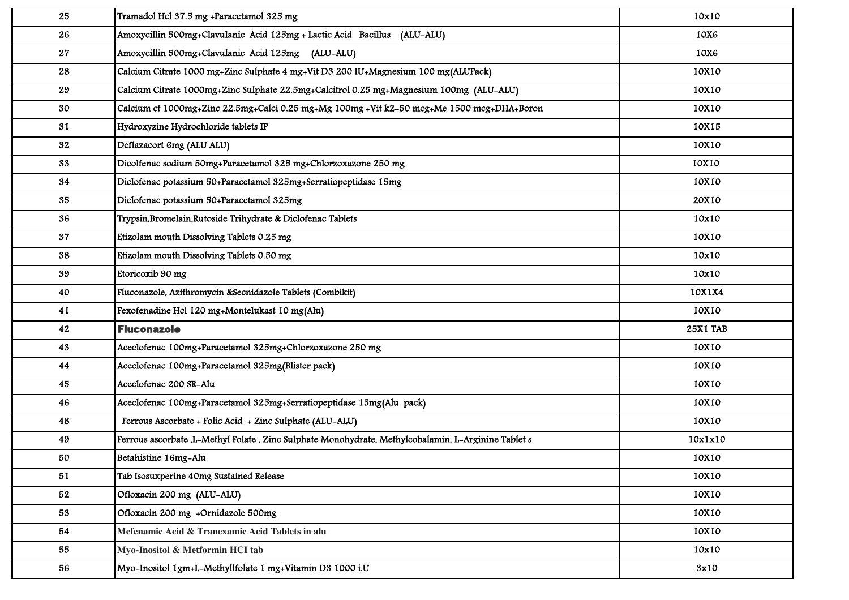| 25 | Tramadol Hcl 37.5 mg +Paracetamol 325 mg                                                              | 10x10           |
|----|-------------------------------------------------------------------------------------------------------|-----------------|
| 26 | Amoxycillin 500mg+Clavulanic Acid 125mg + Lactic Acid Bacillus (ALU-ALU)                              | 10X6            |
| 27 | Amoxycillin 500mg+Clavulanic Acid 125mg (ALU-ALU)                                                     | 10X6            |
| 28 | Calcium Citrate 1000 mg+Zinc Sulphate 4 mg+Vit D3 200 IU+Magnesium 100 mg(ALUPack)                    | 10X10           |
| 29 | Calcium Citrate 1000mg+Zinc Sulphate 22.5mg+Calcitrol 0.25 mg+Magnesium 100mg (ALU-ALU)               | 10X10           |
| 30 | Calcium et 1000mg+Zinc 22.5mg+Calci 0.25 mg+Mg 100mg +Vit k2-50 mcg+Me 1500 mcg+DHA+Boron             | 10X10           |
| 31 | Hydroxyzine Hydrochloride tablets IP                                                                  | 10X15           |
| 32 | Deflazacort 6mg (ALU ALU)                                                                             | 10X10           |
| 33 | Dicolfenac sodium 50mg+Paracetamol 325 mg+Chlorzoxazone 250 mg                                        | 10X10           |
| 34 | Diclofenac potassium 50+Paracetamol 325mg+Serratiopeptidase 15mg                                      | 10X10           |
| 35 | Diclofenac potassium 50+Paracetamol 325mg                                                             | 20X10           |
| 36 | Trypsin, Bromelain, Rutoside Trihydrate & Diclofenac Tablets                                          | 10x10           |
| 37 | Etizolam mouth Dissolving Tablets 0.25 mg                                                             | 10X10           |
| 38 | Etizolam mouth Dissolving Tablets 0.50 mg                                                             | 10x10           |
| 39 | Etoricoxib 90 mg                                                                                      | 10x10           |
| 40 | Fluconazole, Azithromycin &Secnidazole Tablets (Combikit)                                             | 10X1X4          |
| 41 | Fexofenadine Hcl 120 mg+Montelukast 10 mg(Alu)                                                        | 10X10           |
| 42 | <b>Fluconazole</b>                                                                                    | <b>25X1 TAB</b> |
| 43 | Aceclofenac 100mg+Paracetamol 325mg+Chlorzoxazone 250 mg                                              | 10X10           |
| 44 | Aceclofenac 100mg+Paracetamol 325mg(Blister pack)                                                     | 10X10           |
| 45 | Aceclofenac 200 SR-Alu                                                                                | 10X10           |
| 46 | Aceclofenac 100mg+Paracetamol 325mg+Serratiopeptidase 15mg(Alu pack)                                  | 10X10           |
| 48 | Ferrous Ascorbate + Folic Acid + Zinc Sulphate (ALU-ALU)                                              | 10X10           |
| 49 | Ferrous ascorbate , L-Methyl Folate , Zinc Sulphate Monohydrate, Methylcobalamin, L-Arginine Tablet s |                 |
|    |                                                                                                       | 10x1x10         |
| 50 | Betahistine 16mg-Alu                                                                                  | 10X10           |
| 51 | Tab Isosuxperine 40mg Sustained Release                                                               | 10X10           |
| 52 | Ofloxacin 200 mg (ALU-ALU)                                                                            | 10X10           |
| 53 | Ofloxacin 200 mg +Ornidazole 500mg                                                                    | 10X10           |
| 54 | Mefenamic Acid & Tranexamic Acid Tablets in alu                                                       | 10X10           |
| 55 | Myo-Inositol & Metformin HCI tab                                                                      | 10x10           |
| 56 | Myo-Inositol 1gm+L-Methyllfolate 1 mg+Vitamin D3 1000 i.U                                             | 3x10            |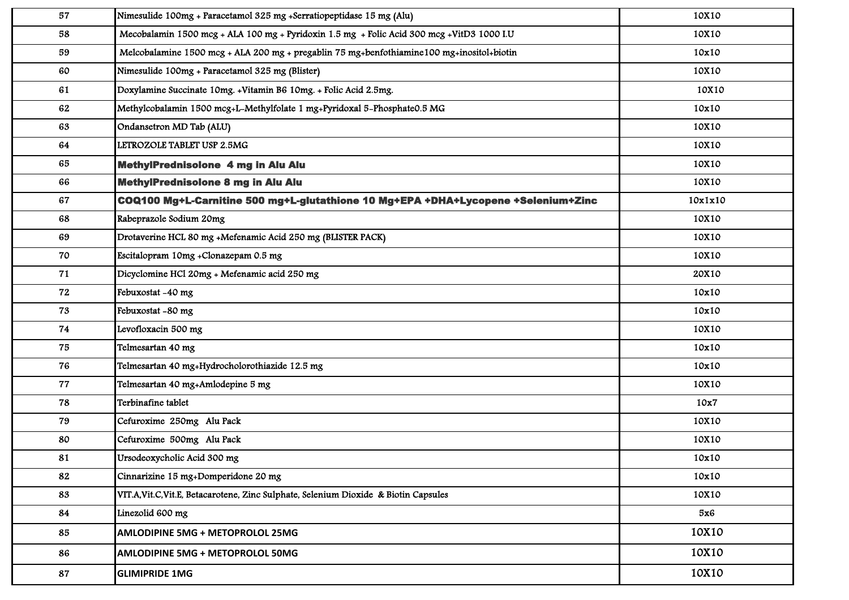| 57 | Nimesulide 100mg + Paracetamol 325 mg +Serratiopeptidase 15 mg (Alu)                       | 10X10   |
|----|--------------------------------------------------------------------------------------------|---------|
| 58 | Mecobalamin 1500 mcg + ALA 100 mg + Pyridoxin 1.5 mg + Folic Acid 300 mcg + VitD3 1000 I.U | 10X10   |
| 59 | Melcobalamine 1500 mcg + ALA 200 mg + pregablin 75 mg+benfothiamine 100 mg+inositol+biotin | 10x10   |
| 60 | Nimesulide 100mg + Paracetamol 325 mg (Blister)                                            | 10X10   |
| 61 | Doxylamine Succinate 10mg. +Vitamin B6 10mg. + Folic Acid 2.5mg.                           | 10X10   |
| 62 | Methylcobalamin 1500 mcg+L-Methylfolate 1 mg+Pyridoxal 5-Phosphate0.5 MG                   | 10x10   |
| 63 | Ondansetron MD Tab (ALU)                                                                   | 10X10   |
| 64 | LETROZOLE TABLET USP 2.5MG                                                                 | 10X10   |
| 65 | MethylPrednisolone 4 mg in Alu Alu                                                         | 10X10   |
| 66 | MethylPrednisolone 8 mg in Alu Alu                                                         | 10X10   |
| 67 | COQ100 Mg+L-Carnitine 500 mg+L-glutathione 10 Mg+EPA +DHA+Lycopene +Selenium+Zinc          | 10x1x10 |
| 68 | Rabeprazole Sodium 20mg                                                                    | 10X10   |
| 69 | Drotaverine HCL 80 mg +Mefenamic Acid 250 mg (BLISTER PACK)                                | 10X10   |
| 70 | Escitalopram 10mg +Clonazepam 0.5 mg                                                       | 10X10   |
| 71 | Dicyclomine HCl 20mg + Mefenamic acid 250 mg                                               | 20X10   |
| 72 | Febuxostat -40 mg                                                                          | 10x10   |
| 73 | Febuxostat -80 mg                                                                          | 10x10   |
| 74 | Levofloxacin 500 mg                                                                        | 10X10   |
| 75 | Telmesartan 40 mg                                                                          | 10x10   |
| 76 | Telmesartan 40 mg+Hydrocholorothiazide 12.5 mg                                             | 10x10   |
| 77 | Telmesartan 40 mg+Amlodepine 5 mg                                                          | 10X10   |
| 78 | Terbinafine tablet                                                                         | 10x7    |
| 79 | Cefuroxime 250mg Alu Pack                                                                  | 10X10   |
| 80 | Cefuroxime 500mg Alu Pack                                                                  | 10X10   |
| 81 | Ursodeoxycholic Acid 300 mg                                                                | 10x10   |
| 82 | Cinnarizine 15 mg+Domperidone 20 mg                                                        | 10x10   |
| 83 | VIT.A, Vit.C, Vit.E, Betacarotene, Zinc Sulphate, Selenium Dioxide & Biotin Capsules       | 10X10   |
| 84 | Linezolid 600 mg                                                                           | 5x6     |
| 85 | AMLODIPINE 5MG + METOPROLOL 25MG                                                           | 10X10   |
| 86 | <b>AMLODIPINE 5MG + METOPROLOL 50MG</b>                                                    | 10X10   |
| 87 | <b>GLIMIPRIDE 1MG</b>                                                                      | 10X10   |
|    |                                                                                            |         |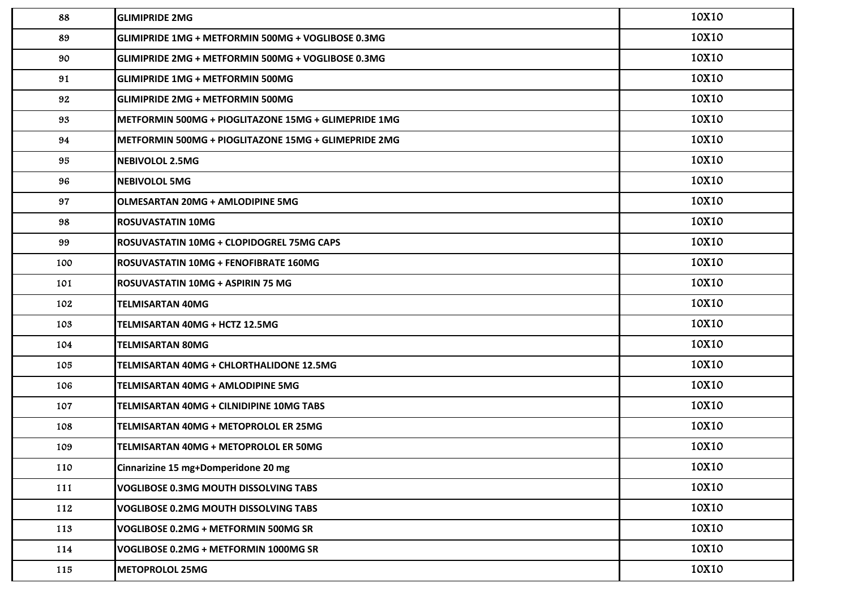| 88  | <b>GLIMIPRIDE 2MG</b>                                | 10X10 |
|-----|------------------------------------------------------|-------|
| 89  | GLIMIPRIDE 1MG + METFORMIN 500MG + VOGLIBOSE 0.3MG   | 10X10 |
| 90  | GLIMIPRIDE 2MG + METFORMIN 500MG + VOGLIBOSE 0.3MG   | 10X10 |
| 91  | GLIMIPRIDE 1MG + METFORMIN 500MG                     | 10X10 |
| 92  | <b>GLIMIPRIDE 2MG + METFORMIN 500MG</b>              | 10X10 |
| 93  | METFORMIN 500MG + PIOGLITAZONE 15MG + GLIMEPRIDE 1MG | 10X10 |
| 94  | METFORMIN 500MG + PIOGLITAZONE 15MG + GLIMEPRIDE 2MG | 10X10 |
| 95  | <b>NEBIVOLOL 2.5MG</b>                               | 10X10 |
| 96  | <b>NEBIVOLOL 5MG</b>                                 | 10X10 |
| 97  | <b>OLMESARTAN 20MG + AMLODIPINE 5MG</b>              | 10X10 |
| 98  | <b>ROSUVASTATIN 10MG</b>                             | 10X10 |
| 99  | ROSUVASTATIN 10MG + CLOPIDOGREL 75MG CAPS            | 10X10 |
| 100 | ROSUVASTATIN 10MG + FENOFIBRATE 160MG                | 10X10 |
| 101 | ROSUVASTATIN 10MG + ASPIRIN 75 MG                    | 10X10 |
| 102 | <b>TELMISARTAN 40MG</b>                              | 10X10 |
| 103 | TELMISARTAN 40MG + HCTZ 12.5MG                       | 10X10 |
| 104 | <b>TELMISARTAN 80MG</b>                              | 10X10 |
| 105 | TELMISARTAN 40MG + CHLORTHALIDONE 12.5MG             | 10X10 |
| 106 | TELMISARTAN 40MG + AMLODIPINE 5MG                    | 10X10 |
| 107 | TELMISARTAN 40MG + CILNIDIPINE 10MG TABS             | 10X10 |
| 108 | TELMISARTAN 40MG + METOPROLOL ER 25MG                | 10X10 |
| 109 | TELMISARTAN 40MG + METOPROLOL ER 50MG                | 10X10 |
| 110 | Cinnarizine 15 mg+Domperidone 20 mg                  | 10X10 |
| 111 | VOGLIBOSE 0.3MG MOUTH DISSOLVING TABS                | 10X10 |
| 112 | VOGLIBOSE 0.2MG MOUTH DISSOLVING TABS                | 10X10 |
| 113 | VOGLIBOSE 0.2MG + METFORMIN 500MG SR                 | 10X10 |
| 114 | VOGLIBOSE 0.2MG + METFORMIN 1000MG SR                | 10X10 |
| 115 | <b>METOPROLOL 25MG</b>                               | 10X10 |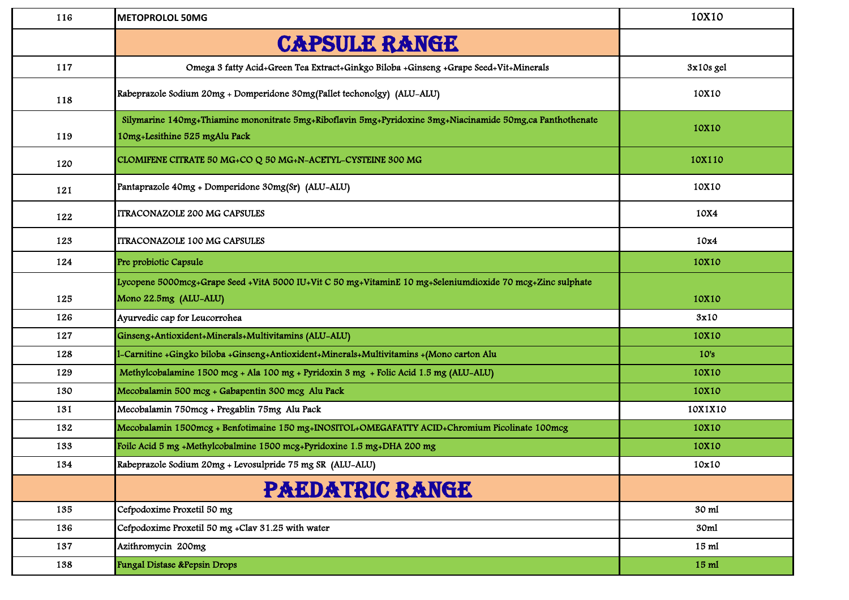| 116 | <b>METOPROLOL 50MG</b>                                                                                                                     | 10X10     |
|-----|--------------------------------------------------------------------------------------------------------------------------------------------|-----------|
|     | <b>CAPSULE RANGE</b>                                                                                                                       |           |
| 117 | Omega 3 fatty Acid+Green Tea Extract+Ginkgo Biloba +Ginseng +Grape Seed+Vit+Minerals                                                       | 3x10s gel |
| 118 | Rabeprazole Sodium 20mg + Domperidone 30mg (Pallet techonolgy) (ALU-ALU)                                                                   | 10X10     |
| 119 | Silymarine 140mg+Thiamine mononitrate 5mg+Riboflavin 5mg+Pyridoxine 3mg+Niacinamide 50mg,ca Panthothenate<br>10mg+Lesithine 525 mgAlu Pack | 10X10     |
| 120 | CLOMIFENE CITRATE 50 MG+CO Q 50 MG+N-ACETYL-CYSTEINE 300 MG                                                                                | 10X110    |
| 121 | Pantaprazole 40mg + Domperidone 30mg(Sr) (ALU-ALU)                                                                                         | 10X10     |
| 122 | <b>ITRACONAZOLE 200 MG CAPSULES</b>                                                                                                        | 10X4      |
| 123 | <b>ITRACONAZOLE 100 MG CAPSULES</b>                                                                                                        | 10x4      |
| 124 | Pre probiotic Capsule                                                                                                                      | 10X10     |
| 125 | Lycopene 5000mcg+Grape Seed +VitA 5000 IU+Vit C 50 mg+VitaminE 10 mg+Seleniumdioxide 70 mcg+Zinc sulphate<br>Mono 22.5mg (ALU-ALU)         | 10X10     |
| 126 | Ayurvedic cap for Leucorrohea                                                                                                              | 3x10      |
| 127 | Ginseng+Antioxident+Minerals+Multivitamins (ALU-ALU)                                                                                       | 10X10     |
| 128 | -Carnitine +Gingko biloba +Ginseng+Antioxident+Minerals+Multivitamins +(Mono carton Alu                                                    | 10's      |
| 129 | Methylcobalamine 1500 mcg + Ala 100 mg + Pyridoxin 3 mg + Folic Acid 1.5 mg (ALU-ALU)                                                      | 10X10     |
| 130 | Mecobalamin 500 mcg + Gabapentin 300 mcg Alu Pack                                                                                          | 10X10     |
| 131 | Mecobalamin 750mcg + Pregablin 75mg Alu Pack                                                                                               | 10X1X10   |
| 132 | Mecobalamin 1500mcg + Benfotimaine 150 mg+INOSITOL+OMEGAFATTY ACID+Chromium Picolinate 100mcg                                              | 10X10     |
| 133 | Foilc Acid 5 mg +Methylcobalmine 1500 mcg+Pyridoxine 1.5 mg+DHA 200 mg                                                                     | 10X10     |
| 134 | Rabeprazole Sodium 20mg + Levosulpride 75 mg SR (ALU-ALU)                                                                                  | 10x10     |
|     | <b>PAEDATRIC RANGE</b>                                                                                                                     |           |
| 135 | Cefpodoxime Proxetil 50 mg                                                                                                                 | 30 ml     |
| 136 | Cefpodoxime Proxetil 50 mg +Clav 31.25 with water                                                                                          | 30ml      |
| 137 | Azithromycin 200mg                                                                                                                         | 15 ml     |
| 138 | Fungal Distase &Pepsin Drops                                                                                                               | 15 ml     |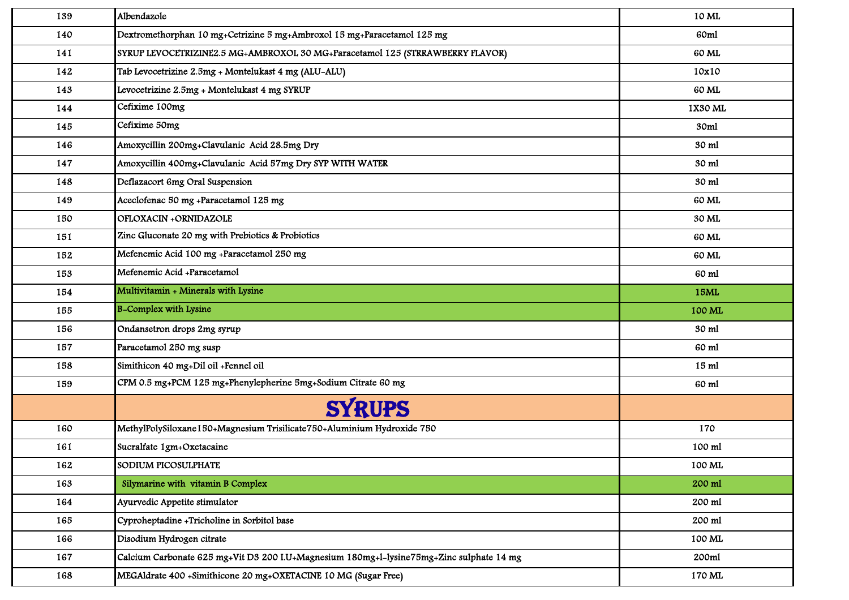| 139 | Albendazole                                                                              | 10 ML   |
|-----|------------------------------------------------------------------------------------------|---------|
| 140 | Dextromethorphan 10 mg+Cetrizine 5 mg+Ambroxol 15 mg+Paracetamol 125 mg                  | 60ml    |
| 141 | SYRUP LEVOCETRIZINE2.5 MG+AMBROXOL 30 MG+Paracetamol 125 (STRRAWBERRY FLAVOR)            | 60 ML   |
| 142 | Tab Levocetrizine 2.5mg + Montelukast 4 mg (ALU-ALU)                                     | 10x10   |
| 143 | Levocetrizine 2.5mg + Montelukast 4 mg SYRUP                                             | 60 ML   |
| 144 | Cefixime 100mg                                                                           | 1X30 ML |
| 145 | Cefixime 50mg                                                                            | 30ml    |
| 146 | Amoxycillin 200mg+Clavulanic Acid 28.5mg Dry                                             | 30 ml   |
| 147 | Amoxycillin 400mg+Clavulanic Acid 57mg Dry SYP WITH WATER                                | 30 ml   |
| 148 | Deflazacort 6mg Oral Suspension                                                          | 30 ml   |
| 149 | Aceclofenac 50 mg +Paracetamol 125 mg                                                    | 60 ML   |
| 150 | OFLOXACIN +ORNIDAZOLE                                                                    | 30 ML   |
| 151 | Zinc Gluconate 20 mg with Prebiotics & Probiotics                                        | 60 ML   |
| 152 | Mefenemic Acid 100 mg +Paracetamol 250 mg                                                | 60 ML   |
| 153 | Mefenemic Acid +Paracetamol                                                              | 60 ml   |
| 154 | Multivitamin + Minerals with Lysine                                                      | 15ML    |
| 155 | <b>B-Complex with Lysine</b>                                                             | 100 ML  |
| 156 | Ondansetron drops 2mg syrup                                                              | 30 ml   |
| 157 | Paracetamol 250 mg susp                                                                  | 60 ml   |
| 158 | Simithicon 40 mg+Dil oil +Fennel oil                                                     | 15 ml   |
| 159 | CPM 0.5 mg+PCM 125 mg+Phenylepherine 5mg+Sodium Citrate 60 mg                            | 60 ml   |
|     | <b>SYRUPS</b>                                                                            |         |
| 160 | MethylPolySiloxane150+Magnesium Trisilicate750+Aluminium Hydroxide 750                   | 170     |
| 161 | Sucralfate 1gm+Oxetacaine                                                                | 100 ml  |
| 162 | SODIUM PICOSULPHATE                                                                      | 100 ML  |
| 163 | Silymarine with vitamin B Complex                                                        | 200 ml  |
| 164 | Ayurvedic Appetite stimulator                                                            | 200 ml  |
| 165 | Cyproheptadine +Tricholine in Sorbitol base                                              | 200 ml  |
| 166 | Disodium Hydrogen citrate                                                                | 100 ML  |
| 167 | Calcium Carbonate 625 mg+Vit D3 200 I.U+Magnesium 180mg+l-lysine75mg+Zinc sulphate 14 mg | 200ml   |
| 168 | MEGAldrate 400 +Simithicone 20 mg+OXETACINE 10 MG (Sugar Free)                           | 170 ML  |
|     |                                                                                          |         |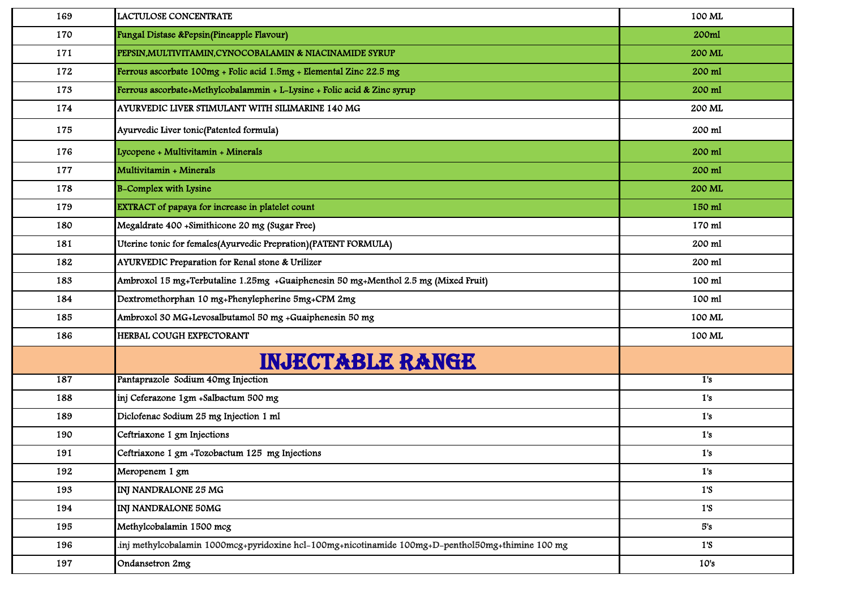| 169 | LACTULOSE CONCENTRATE                                                                             | 100 ML         |
|-----|---------------------------------------------------------------------------------------------------|----------------|
| 170 | Fungal Distase &Pepsin(Pineapple Flavour)                                                         | 200ml          |
| 171 | PEPSIN, MULTIVITAMIN, CYNOCOBALAMIN & NIACINAMIDE SYRUP                                           | 200 ML         |
| 172 | Ferrous ascorbate 100mg + Folic acid 1.5mg + Elemental Zinc 22.5 mg                               | 200 ml         |
| 173 | Ferrous ascorbate+Methylcobalammin + L-Lysine + Folic acid & Zinc syrup                           | 200 ml         |
| 174 | AYURVEDIC LIVER STIMULANT WITH SILIMARINE 140 MG                                                  | 200 ML         |
| 175 | Ayurvedic Liver tonic(Patented formula)                                                           | 200 ml         |
| 176 | Lycopene + Multivitamin + Minerals                                                                | 200 ml         |
| 177 | Multivitamin + Minerals                                                                           | 200 ml         |
| 178 | <b>B-Complex with Lysine</b>                                                                      | 200 ML         |
| 179 | EXTRACT of papaya for increase in platelet count                                                  | 150 ml         |
| 180 | Megaldrate 400 +Simithicone 20 mg (Sugar Free)                                                    | 170 ml         |
| 181 | Uterine tonic for females(Ayurvedic Prepration)(PATENT FORMULA)                                   | 200 ml         |
| 182 | AYURVEDIC Preparation for Renal stone & Urilizer                                                  | 200 ml         |
| 183 | Ambroxol 15 mg+Terbutaline 1.25mg +Guaiphenesin 50 mg+Menthol 2.5 mg (Mixed Fruit)                | 100 ml         |
| 184 | Dextromethorphan 10 mg+Phenylepherine 5mg+CPM 2mg                                                 | 100 ml         |
| 185 | Ambroxol 30 MG+Levosalbutamol 50 mg +Guaiphenesin 50 mg                                           | 100 ML         |
| 186 | HERBAL COUGH EXPECTORANT                                                                          | 100 ML         |
|     | <b>INJECTABLE RANGE</b>                                                                           |                |
| 187 | Pantaprazole Sodium 40mg Injection                                                                | 1's            |
| 188 | inj Ceferazone 1gm +Salbactum 500 mg                                                              | 1's            |
| 189 | Diclofenac Sodium 25 mg Injection 1 ml                                                            | 1's            |
| 190 | Ceftriaxone 1 gm Injections                                                                       | 1's            |
| 191 | Ceftriaxone 1 gm +Tozobactum 125 mg Injections                                                    | 1's            |
| 192 | Meropenem 1 gm                                                                                    | 1's            |
| 193 | INJ NANDRALONE 25 MG                                                                              | 1'S            |
| 194 | INJ NANDRALONE 50MG                                                                               | $1^{\prime}$ S |
| 195 | Methylcobalamin 1500 mcg                                                                          | 5's            |
| 196 | inj methylcobalamin 1000mcg+pyridoxine hcl-100mg+nicotinamide 100mg+D-penthol50mg+thimine 100 mg. | 1'S            |
| 197 | Ondansetron 2mg                                                                                   | 10's           |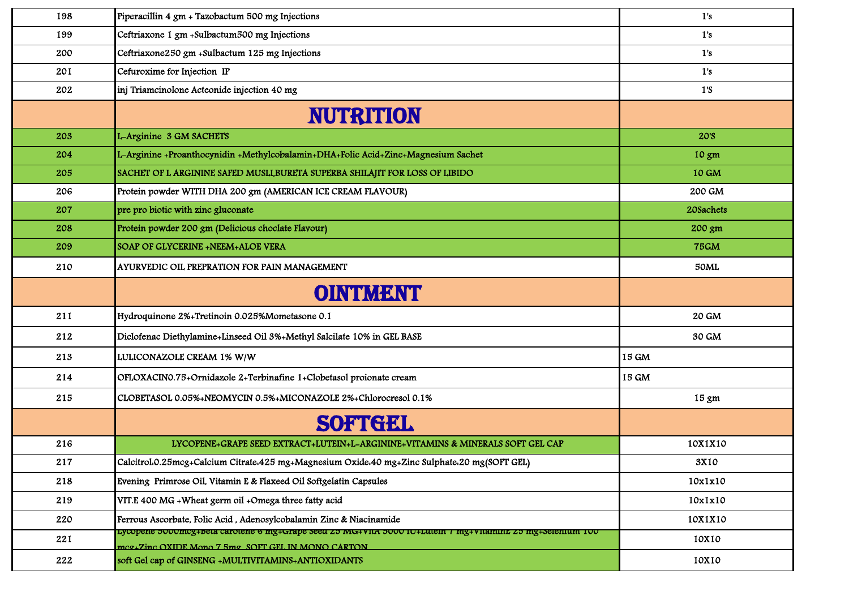| 198 | Piperacillin 4 gm + Tazobactum 500 mg Injections                                                                                                                     | 1's             |
|-----|----------------------------------------------------------------------------------------------------------------------------------------------------------------------|-----------------|
| 199 | Ceftriaxone 1 gm +Sulbactum500 mg Injections                                                                                                                         | 1's             |
| 200 | Ceftriaxone250 gm +Sulbactum 125 mg Injections                                                                                                                       | 1's             |
| 201 | Cefuroxime for Injection IP                                                                                                                                          | 1's             |
| 202 | inj Triamcinolone Acteonide injection 40 mg                                                                                                                          | 1's             |
|     | <b>NUTRITION</b>                                                                                                                                                     |                 |
| 203 | L-Arginine 3 GM SACHETS                                                                                                                                              | <b>20'S</b>     |
| 204 | L-Arginine +Proanthocynidin +Methylcobalamin+DHA+Folic Acid+Zinc+Magnesium Sachet                                                                                    | $10 \text{ gm}$ |
| 205 | SACHET OF L ARGININE SAFED MUSLI, BURETA SUPERBA SHILAJIT FOR LOSS OF LIBIDO                                                                                         | 10 GM           |
| 206 | Protein powder WITH DHA 200 gm (AMERICAN ICE CREAM FLAVOUR)                                                                                                          | 200 GM          |
| 207 | pre pro biotic with zinc gluconate                                                                                                                                   | 20Sachets       |
| 208 | Protein powder 200 gm (Delicious choclate Flavour)                                                                                                                   | 200 gm          |
| 209 | SOAP OF GLYCERINE +NEEM+ALOE VERA                                                                                                                                    | <b>75GM</b>     |
| 210 | AYURVEDIC OIL PREPRATION FOR PAIN MANAGEMENT                                                                                                                         | 50ML            |
|     | OINTUMENTI                                                                                                                                                           |                 |
| 211 | Hydroquinone 2%+Tretinoin 0.025%Mometasone 0.1                                                                                                                       | 20 GM           |
| 212 | Diclofenac Diethylamine+Linseed Oil 3%+Methyl Salcilate 10% in GEL BASE                                                                                              | 30 GM           |
| 213 | LULICONAZOLE CREAM 1% W/W                                                                                                                                            | 15 GM           |
| 214 | OFLOXACINO.75+Ornidazole 2+Terbinafine 1+Clobetasol proionate cream                                                                                                  | 15 GM           |
| 215 | CLOBETASOL 0.05%+NEOMYCIN 0.5%+MICONAZOLE 2%+Chlorocresol 0.1%                                                                                                       | $15 \text{ gm}$ |
|     | SOFTIGEL                                                                                                                                                             |                 |
| 216 | LYCOPENE+GRAPE SEED EXTRACT+LUTEIN+L-ARGININE+VITAMINS & MINERALS SOFT GEL CAP                                                                                       | 10X1X10         |
| 217 | Calcitrol.0.25mcg+Calcium Citrate.425 mg+Magnesium Oxide.40 mg+Zinc Sulphate.20 mg(SOFT GEL)                                                                         | 3X10            |
| 218 | Evening Primrose Oil, Vitamin E & Flaxeed Oil Softgelatin Capsules                                                                                                   | 10x1x10         |
| 219 | VIT.E 400 MG + Wheat germ oil + Omega three fatty acid                                                                                                               | 10x1x10         |
| 220 | Ferrous Ascorbate, Folic Acid, Adenosylcobalamin Zinc & Niacinamide                                                                                                  | 10X1X10         |
| 221 | гусорене эооонісg+вега сагогене 6 ніg+старе зееа 25 іуга+утіл эооо то+гліені 7 ніg+утіанниг 25 ніg+зеіеннин тоо<br>mcg+Zinc OXIDE Mono 7 5mg SOFT GEL IN MONO CARTON | 10X10           |
| 222 | soft Gel cap of GINSENG +MULTIVITAMINS+ANTIOXIDANTS                                                                                                                  | 10X10           |
|     |                                                                                                                                                                      |                 |